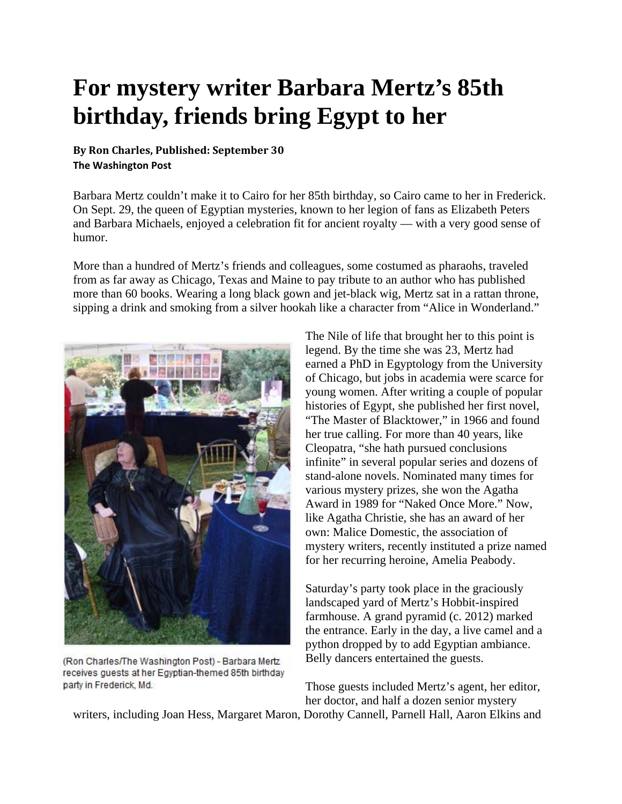## **For mystery writer Barbara Mertz's 85th birthday, friends bring Egypt to her**

## **By Ron Charles, Published: September 30 The Washington Post**

Barbara Mertz couldn't make it to Cairo for her 85th birthday, so Cairo came to her in Frederick. On Sept. 29, the queen of Egyptian mysteries, known to her legion of fans as Elizabeth Peters and Barbara Michaels, enjoyed a celebration fit for ancient royalty — with a very good sense of humor.

More than a hundred of Mertz's friends and colleagues, some costumed as pharaohs, traveled from as far away as Chicago, Texas and Maine to pay tribute to an author who has published more than 60 books. Wearing a long black gown and jet-black wig, Mertz sat in a rattan throne, sipping a drink and smoking from a silver hookah like a character from "Alice in Wonderland."



(Ron Charles/The Washington Post) - Barbara Mertz receives guests at her Egyptian-themed 85th birthday party in Frederick, Md.

The Nile of life that brought her to this point is legend. By the time she was 23, Mertz had earned a PhD in Egyptology from the University of Chicago, but jobs in academia were scarce for young women. After writing a couple of popular histories of Egypt, she published her first novel, "The Master of Blacktower," in 1966 and found her true calling. For more than 40 years, like Cleopatra, "she hath pursued conclusions infinite" in several popular series and dozens of stand-alone novels. Nominated many times for various mystery prizes, she won the Agatha Award in 1989 for "Naked Once More." Now, like Agatha Christie, she has an award of her own: Malice Domestic, the association of mystery writers, recently instituted a prize named for her recurring heroine, Amelia Peabody.

Saturday's party took place in the graciously landscaped yard of Mertz's Hobbit-inspired farmhouse. A grand pyramid (c. 2012) marked the entrance. Early in the day, a live camel and a python dropped by to add Egyptian ambiance. Belly dancers entertained the guests.

Those guests included Mertz's agent, her editor, her doctor, and half a dozen senior mystery

writers, including Joan Hess, Margaret Maron, Dorothy Cannell, Parnell Hall, Aaron Elkins and